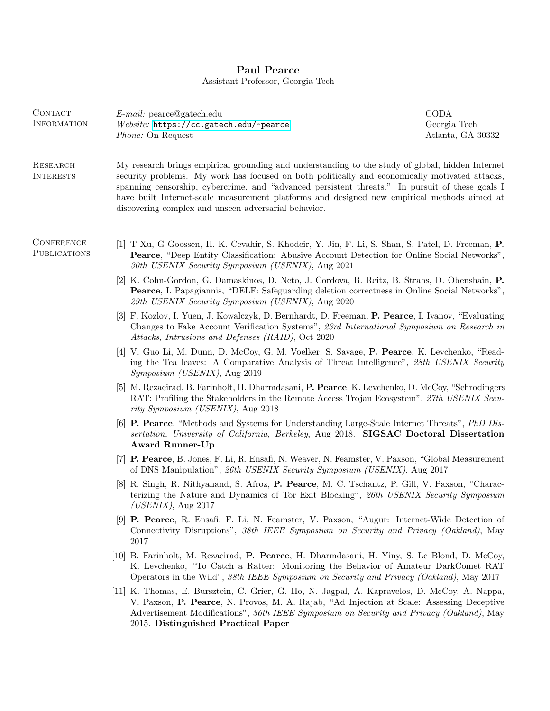## Paul Pearce Assistant Professor, Georgia Tech

| CONTACT<br>INFORMATION       | $E$ - <i>mail:</i> pearce@gatech.edu<br>Website: https://cc.gatech.edu/~pearce<br><i>Phone:</i> On Request                                                                                                                                                                                                                                                                                                                                                   | CODA<br>Georgia Tech<br>Atlanta, GA 30332 |
|------------------------------|--------------------------------------------------------------------------------------------------------------------------------------------------------------------------------------------------------------------------------------------------------------------------------------------------------------------------------------------------------------------------------------------------------------------------------------------------------------|-------------------------------------------|
| RESEARCH<br><b>INTERESTS</b> | My research brings empirical grounding and understanding to the study of global, hidden Internet<br>security problems. My work has focused on both politically and economically motivated attacks,<br>spanning censorship, cybercrime, and "advanced persistent threats." In pursuit of these goals I<br>have built Internet-scale measurement platforms and designed new empirical methods aimed at<br>discovering complex and unseen adversarial behavior. |                                           |
| CONFERENCE<br>PUBLICATIONS   | [1] T Xu, G Goossen, H. K. Cevahir, S. Khodeir, Y. Jin, F. Li, S. Shan, S. Patel, D. Freeman, P.<br>Pearce, "Deep Entity Classification: Abusive Account Detection for Online Social Networks",<br>30th USENIX Security Symposium (USENIX), Aug 2021                                                                                                                                                                                                         |                                           |
|                              | [2] K. Cohn-Gordon, G. Damaskinos, D. Neto, J. Cordova, B. Reitz, B. Strahs, D. Obenshain, P.<br><b>Pearce, I. Papagiannis, "DELF: Safeguarding deletion correctness in Online Social Networks",</b><br>29th USENIX Security Symposium (USENIX), Aug 2020                                                                                                                                                                                                    |                                           |
|                              | [3] F. Kozlov, I. Yuen, J. Kowalczyk, D. Bernhardt, D. Freeman, P. Pearce, I. Ivanov, "Evaluating"<br>Changes to Fake Account Verification Systems", 23rd International Symposium on Research in<br>Attacks, Intrusions and Defenses (RAID), Oct 2020                                                                                                                                                                                                        |                                           |
|                              | [4] V. Guo Li, M. Dunn, D. McCoy, G. M. Voelker, S. Savage, P. Pearce, K. Levchenko, "Read-<br>ing the Tea leaves: A Comparative Analysis of Threat Intelligence", 28th USENIX Security<br><i>Symposium (USENIX)</i> , Aug 2019                                                                                                                                                                                                                              |                                           |
|                              | [5] M. Rezaeirad, B. Farinholt, H. Dharmdasani, P. Pearce, K. Levchenko, D. McCoy, "Schrodingers"<br>RAT: Profiling the Stakeholders in the Remote Access Trojan Ecosystem", 27th USENIX Secu-<br>rity Symposium (USENIX), Aug 2018                                                                                                                                                                                                                          |                                           |
|                              | [6] <b>P. Pearce</b> , "Methods and Systems for Understanding Large-Scale Internet Threats", <i>PhD Dis-</i><br>sertation, University of California, Berkeley, Aug 2018. SIGSAC Doctoral Dissertation<br><b>Award Runner-Up</b>                                                                                                                                                                                                                              |                                           |
|                              | [7] P. Pearce, B. Jones, F. Li, R. Ensafi, N. Weaver, N. Feamster, V. Paxson, "Global Measurement"<br>of DNS Manipulation", 26th USENIX Security Symposium (USENIX), Aug 2017                                                                                                                                                                                                                                                                                |                                           |
|                              | [8] R. Singh, R. Nithyanand, S. Afroz, P. Pearce, M. C. Tschantz, P. Gill, V. Paxson, "Charac-<br>terizing the Nature and Dynamics of Tor Exit Blocking", 26th USENIX Security Symposium<br>$(USENIX)$ , Aug 2017                                                                                                                                                                                                                                            |                                           |
|                              | [9] P. Pearce, R. Ensafi, F. Li, N. Feamster, V. Paxson, "Augur: Internet-Wide Detection of<br>Connectivity Disruptions", 38th IEEE Symposium on Security and Privacy (Oakland), May<br>2017                                                                                                                                                                                                                                                                 |                                           |
|                              | [10] B. Farinholt, M. Rezaeirad, P. Pearce, H. Dharmdasani, H. Yiny, S. Le Blond, D. McCoy,<br>K. Levchenko, "To Catch a Ratter: Monitoring the Behavior of Amateur DarkComet RAT<br>Operators in the Wild", 38th IEEE Symposium on Security and Privacy (Oakland), May 2017                                                                                                                                                                                 |                                           |
|                              | [11] K. Thomas, E. Bursztein, C. Grier, G. Ho, N. Jagpal, A. Kapravelos, D. McCoy, A. Nappa,<br>V. Paxson, P. Pearce, N. Provos, M. A. Rajab, "Ad Injection at Scale: Assessing Deceptive<br>Advertisement Modifications", 36th IEEE Symposium on Security and Privacy (Oakland), May<br>2015. Distinguished Practical Paper                                                                                                                                 |                                           |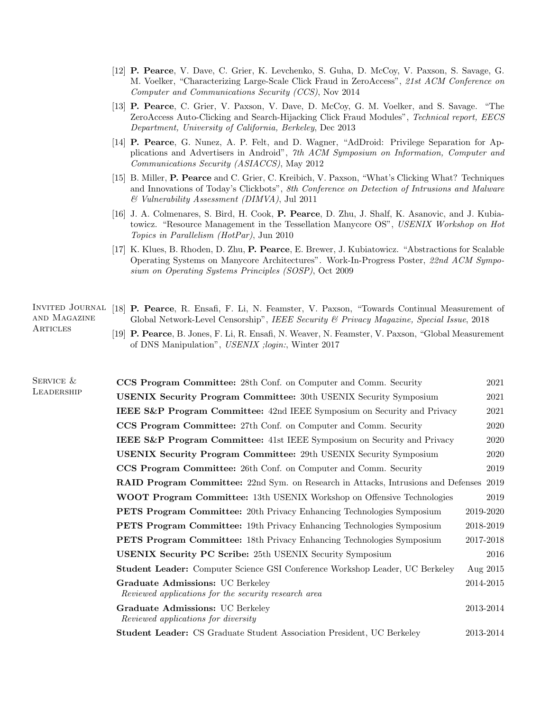- [12] P. Pearce, V. Dave, C. Grier, K. Levchenko, S. Guha, D. McCoy, V. Paxson, S. Savage, G. M. Voelker, "Characterizing Large-Scale Click Fraud in ZeroAccess", 21st ACM Conference on Computer and Communications Security (CCS), Nov 2014
- [13] P. Pearce, C. Grier, V. Paxson, V. Dave, D. McCoy, G. M. Voelker, and S. Savage. "The ZeroAccess Auto-Clicking and Search-Hijacking Click Fraud Modules", Technical report, EECS Department, University of California, Berkeley, Dec 2013
- [14] P. Pearce, G. Nunez, A. P. Felt, and D. Wagner, "AdDroid: Privilege Separation for Applications and Advertisers in Android", 7th ACM Symposium on Information, Computer and Communications Security (ASIACCS), May 2012
- [15] B. Miller, P. Pearce and C. Grier, C. Kreibich, V. Paxson, "What's Clicking What? Techniques and Innovations of Today's Clickbots", 8th Conference on Detection of Intrusions and Malware & Vulnerability Assessment (DIMVA), Jul 2011
- [16] J. A. Colmenares, S. Bird, H. Cook, P. Pearce, D. Zhu, J. Shalf, K. Asanovic, and J. Kubiatowicz. "Resource Management in the Tessellation Manycore OS", USENIX Workshop on Hot Topics in Parallelism (HotPar), Jun 2010
- [17] K. Klues, B. Rhoden, D. Zhu, P. Pearce, E. Brewer, J. Kubiatowicz. "Abstractions for Scalable Operating Systems on Manycore Architectures". Work-In-Progress Poster, 22nd ACM Symposium on Operating Systems Principles (SOSP), Oct 2009

## and Magazine **ARTICLES**

- INVITED JOURNAL [18] P. Pearce, R. Ensafi, F. Li, N. Feamster, V. Paxson, "Towards Continual Measurement of Global Network-Level Censorship", IEEE Security & Privacy Magazine, Special Issue, 2018
	- [19] P. Pearce, B. Jones, F. Li, R. Ensafi, N. Weaver, N. Feamster, V. Paxson, "Global Measurement of DNS Manipulation", USENIX ;login:, Winter 2017

| SERVICE &  | <b>CCS Program Committee:</b> 28th Conf. on Computer and Comm. Security                  | 2021      |
|------------|------------------------------------------------------------------------------------------|-----------|
| LEADERSHIP | <b>USENIX Security Program Committee:</b> 30th USENIX Security Symposium                 | 2021      |
|            | <b>IEEE S&amp;P Program Committee:</b> 42nd IEEE Symposium on Security and Privacy       | 2021      |
|            | <b>CCS Program Committee:</b> 27th Conf. on Computer and Comm. Security                  | 2020      |
|            | <b>IEEE S&amp;P Program Committee:</b> 41st IEEE Symposium on Security and Privacy       | 2020      |
|            | <b>USENIX Security Program Committee:</b> 29th USENIX Security Symposium                 | 2020      |
|            | <b>CCS Program Committee:</b> 26th Conf. on Computer and Comm. Security                  | 2019      |
|            | <b>RAID Program Committee:</b> 22nd Sym. on Research in Attacks, Intrusions and Defenses | 2019      |
|            | <b>WOOT Program Committee:</b> 13th USENIX Workshop on Offensive Technologies            | 2019      |
|            | <b>PETS Program Committee:</b> 20th Privacy Enhancing Technologies Symposium             | 2019-2020 |
|            | <b>PETS Program Committee:</b> 19th Privacy Enhancing Technologies Symposium             | 2018-2019 |
|            | <b>PETS Program Committee:</b> 18th Privacy Enhancing Technologies Symposium             | 2017-2018 |
|            | <b>USENIX Security PC Scribe: 25th USENIX Security Symposium</b>                         | 2016      |
|            | <b>Student Leader:</b> Computer Science GSI Conference Workshop Leader, UC Berkeley      | Aug 2015  |
|            | Graduate Admissions: UC Berkeley<br>Reviewed applications for the security research area | 2014-2015 |
|            | Graduate Admissions: UC Berkeley<br>Reviewed applications for diversity                  | 2013-2014 |
|            | <b>Student Leader:</b> CS Graduate Student Association President, UC Berkeley            | 2013-2014 |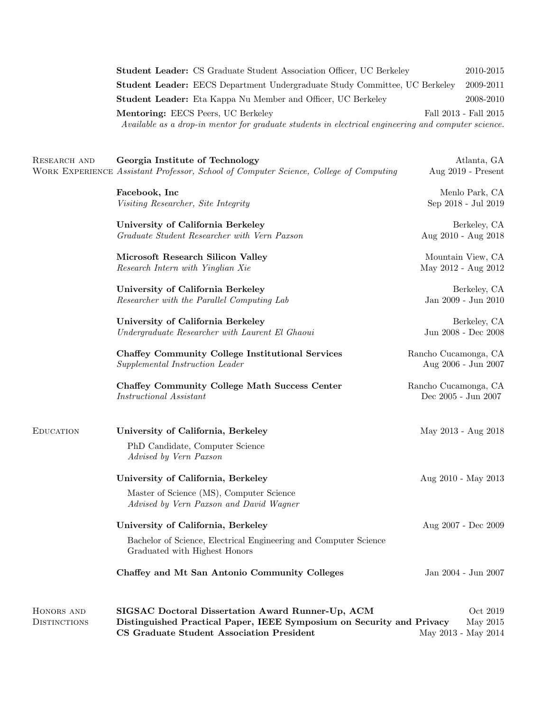| <b>Student Leader:</b> CS Graduate Student Association Officer, UC Berkeley                         | 2010-2015             |
|-----------------------------------------------------------------------------------------------------|-----------------------|
| <b>Student Leader:</b> EECS Department Undergraduate Study Committee, UC Berkeley                   | 2009-2011             |
| <b>Student Leader:</b> Eta Kappa Nu Member and Officer, UC Berkeley                                 | 2008-2010             |
| <b>Mentoring: EECS Peers, UC Berkeley</b>                                                           | Fall 2013 - Fall 2015 |
| Available as a drop-in mentor for graduate students in electrical engineering and computer science. |                       |

RESEARCH AND WORK EXPERIENCE Assistant Professor, School of Computer Science, College of Computing Aug 2019 - Present Georgia Institute of Technology Atlanta, GA

> Facebook, Inc Menlo Park, CA Visiting Researcher, Site Integrity Sep 2018 - Jul 2019

University of California Berkeley and the settlement of CALIFORNIA Berkeley, CA Graduate Student Researcher with Vern Paxson Aug 2010 - Aug 2018

Microsoft Research Silicon Valley Mountain View, CA Research Intern with Yinglian Xie May 2012 - Aug 2012

University of California Berkeley **Berkeley** Berkeley, CA Researcher with the Parallel Computing Lab Jan 2009 - Jun 2010

University of California Berkeley **Berkeley** Berkeley, CA Undergraduate Researcher with Laurent El Ghaoui Jun 2008 - Dec 2008

Chaffey Community College Institutional Services Rancho Cucamonga, CA Supplemental Instruction Leader Aug 2006 - Jun 2007

Chaffey Community College Math Success Center Rancho Cucamonga, CA Instructional Assistant Dec 2005 - Jun 2007

| <b>EDUCATION</b>    | University of California, Berkeley                                                                | May 2013 - Aug 2018 |
|---------------------|---------------------------------------------------------------------------------------------------|---------------------|
|                     | PhD Candidate, Computer Science<br><i>Advised by Vern Paxson</i>                                  |                     |
|                     | University of California, Berkeley                                                                | Aug 2010 - May 2013 |
|                     | Master of Science (MS), Computer Science<br>Advised by Vern Paxson and David Wagner               |                     |
|                     | University of California, Berkeley                                                                | Aug 2007 - Dec 2009 |
|                     | Bachelor of Science, Electrical Engineering and Computer Science<br>Graduated with Highest Honors |                     |
|                     | Chaffey and Mt San Antonio Community Colleges                                                     | Jan 2004 - Jun 2007 |
| HONORS AND          | SIGSAC Doctoral Dissertation Award Runner-Up, ACM                                                 | Oct 2019            |
| <b>DISTINCTIONS</b> | Distinguished Practical Paper, IEEE Symposium on Security and Privacy<br>May 2015                 |                     |
|                     | CS Graduate Student Association President                                                         | May 2013 - May 2014 |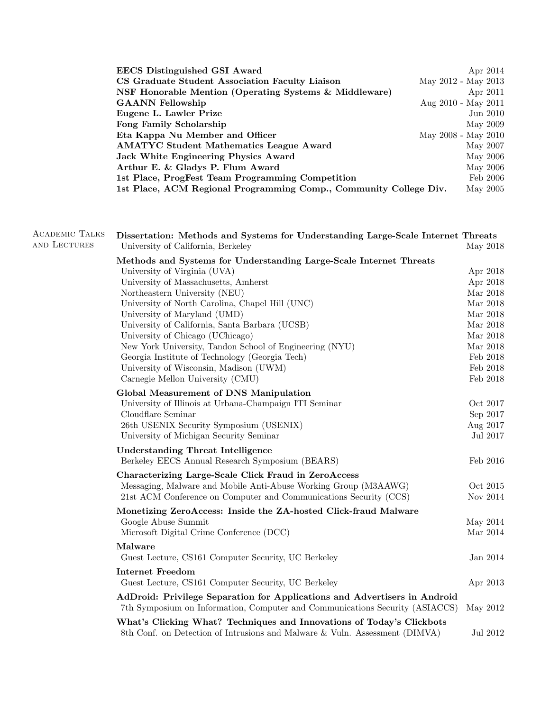| Apr 2014                                                                      |
|-------------------------------------------------------------------------------|
| May 2012 - May 2013                                                           |
| Apr 2011                                                                      |
| Aug 2010 - May 2011                                                           |
| Jun 2010                                                                      |
| May 2009                                                                      |
| May 2008 - May 2010                                                           |
| May 2007                                                                      |
| May 2006                                                                      |
| May 2006                                                                      |
| Feb 2006                                                                      |
| 1st Place, ACM Regional Programming Comp., Community College Div.<br>May 2005 |
|                                                                               |

| <b>ACADEMIC TALKS</b><br>AND LECTURES | Dissertation: Methods and Systems for Understanding Large-Scale Internet Threats<br>University of California, Berkeley                                    | May 2018 |
|---------------------------------------|-----------------------------------------------------------------------------------------------------------------------------------------------------------|----------|
|                                       | Methods and Systems for Understanding Large-Scale Internet Threats<br>University of Virginia (UVA)                                                        | Apr 2018 |
|                                       | University of Massachusetts, Amherst                                                                                                                      | Apr 2018 |
|                                       | Northeastern University (NEU)                                                                                                                             | Mar 2018 |
|                                       | University of North Carolina, Chapel Hill (UNC)                                                                                                           | Mar 2018 |
|                                       | University of Maryland (UMD)                                                                                                                              | Mar 2018 |
|                                       | University of California, Santa Barbara (UCSB)                                                                                                            | Mar 2018 |
|                                       | University of Chicago (UChicago)                                                                                                                          | Mar 2018 |
|                                       | New York University, Tandon School of Engineering (NYU)                                                                                                   | Mar 2018 |
|                                       | Georgia Institute of Technology (Georgia Tech)                                                                                                            | Feb 2018 |
|                                       | University of Wisconsin, Madison (UWM)                                                                                                                    | Feb 2018 |
|                                       | Carnegie Mellon University (CMU)                                                                                                                          | Feb 2018 |
|                                       | Global Measurement of DNS Manipulation                                                                                                                    |          |
|                                       | University of Illinois at Urbana-Champaign ITI Seminar                                                                                                    | Oct 2017 |
|                                       | Cloudflare Seminar                                                                                                                                        | Sep 2017 |
|                                       | 26th USENIX Security Symposium (USENIX)                                                                                                                   | Aug 2017 |
|                                       | University of Michigan Security Seminar                                                                                                                   | Jul 2017 |
|                                       | <b>Understanding Threat Intelligence</b>                                                                                                                  |          |
|                                       | Berkeley EECS Annual Research Symposium (BEARS)                                                                                                           | Feb 2016 |
|                                       | Characterizing Large-Scale Click Fraud in ZeroAccess                                                                                                      |          |
|                                       | Messaging, Malware and Mobile Anti-Abuse Working Group (M3AAWG)                                                                                           | Oct 2015 |
|                                       | 21st ACM Conference on Computer and Communications Security (CCS)                                                                                         | Nov 2014 |
|                                       | Monetizing ZeroAccess: Inside the ZA-hosted Click-fraud Malware                                                                                           |          |
|                                       | Google Abuse Summit                                                                                                                                       | May 2014 |
|                                       | Microsoft Digital Crime Conference (DCC)                                                                                                                  | Mar 2014 |
|                                       |                                                                                                                                                           |          |
|                                       | Malware                                                                                                                                                   |          |
|                                       | Guest Lecture, CS161 Computer Security, UC Berkeley                                                                                                       | Jan 2014 |
|                                       | <b>Internet Freedom</b><br>Guest Lecture, CS161 Computer Security, UC Berkeley                                                                            | Apr 2013 |
|                                       | AdDroid: Privilege Separation for Applications and Advertisers in Android<br>7th Symposium on Information, Computer and Communications Security (ASIACCS) | May 2012 |
|                                       | What's Clicking What? Techniques and Innovations of Today's Clickbots<br>8th Conf. on Detection of Intrusions and Malware & Vuln. Assessment (DIMVA)      | Jul 2012 |